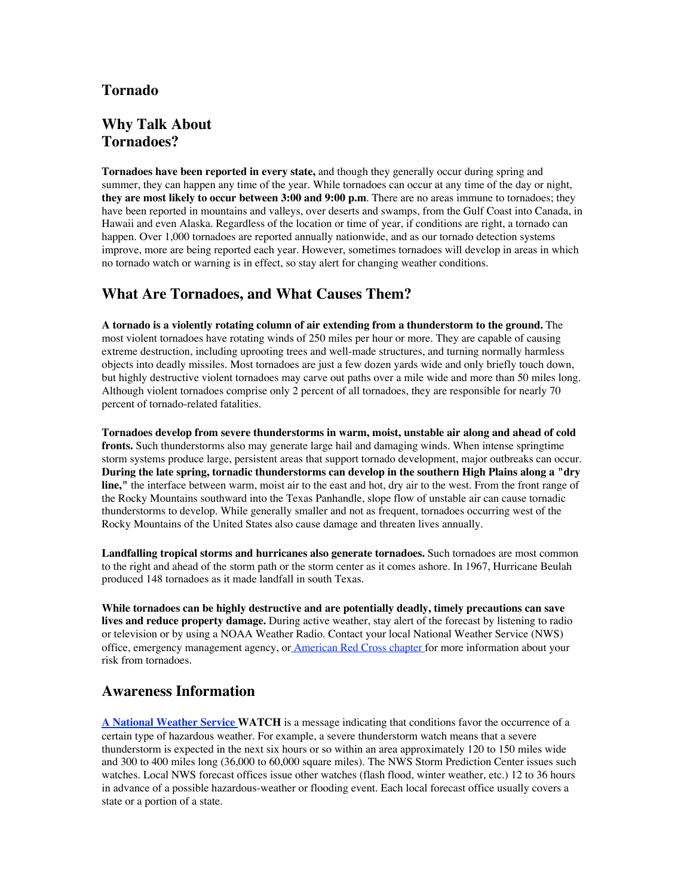## **Tornado**

# **Why Talk About Tornadoes?**

**Tornadoes have been reported in every state,** and though they generally occur during spring and summer, they can happen any time of the year. While tornadoes can occur at any time of the day or night, **they are most likely to occur between 3:00 and 9:00 p.m**. There are no areas immune to tornadoes; they have been reported in mountains and valleys, over deserts and swamps, from the Gulf Coast into Canada, in Hawaii and even Alaska. Regardless of the location or time of year, if conditions are right, a tornado can happen. Over 1,000 tornadoes are reported annually nationwide, and as our tornado detection systems improve, more are being reported each year. However, sometimes tornadoes will develop in areas in which no tornado watch or warning is in effect, so stay alert for changing weather conditions.

# **What Are Tornadoes, and What Causes Them?**

**A tornado is a violently rotating column of air extending from a thunderstorm to the ground.** The most violent tornadoes have rotating winds of 250 miles per hour or more. They are capable of causing extreme destruction, including uprooting trees and well-made structures, and turning normally harmless objects into deadly missiles. Most tornadoes are just a few dozen yards wide and only briefly touch down, but highly destructive violent tornadoes may carve out paths over a mile wide and more than 50 miles long. Although violent tornadoes comprise only 2 percent of all tornadoes, they are responsible for nearly 70 percent of tornado-related fatalities.

**Tornadoes develop from severe thunderstorms in warm, moist, unstable air along and ahead of cold fronts.** Such thunderstorms also may generate large hail and damaging winds. When intense springtime storm systems produce large, persistent areas that support tornado development, major outbreaks can occur. **During the late spring, tornadic thunderstorms can develop in the southern High Plains along a "dry line,"** the interface between warm, moist air to the east and hot, dry air to the west. From the front range of the Rocky Mountains southward into the Texas Panhandle, slope flow of unstable air can cause tornadic thunderstorms to develop. While generally smaller and not as frequent, tornadoes occurring west of the Rocky Mountains of the United States also cause damage and threaten lives annually.

**Landfalling tropical storms and hurricanes also generate tornadoes.** Such tornadoes are most common to the right and ahead of the storm path or the storm center as it comes ashore. In 1967, Hurricane Beulah produced 148 tornadoes as it made landfall in south Texas.

**While tornadoes can be highly destructive and are potentially deadly, timely precautions can save lives and reduce property damage.** During active weather, stay alert of the forecast by listening to radio or television or by using a NOAA Weather Radio. Contact your local National Weather Service (NWS) office, emergency management agency, or American Red Cross chapter for more information about your risk from tornadoes.

## **Awareness Information**

**A National Weather Service WATCH** is a message indicating that conditions favor the occurrence of a certain type of hazardous weather. For example, a severe thunderstorm watch means that a severe thunderstorm is expected in the next six hours or so within an area approximately 120 to 150 miles wide and 300 to 400 miles long (36,000 to 60,000 square miles). The NWS Storm Prediction Center issues such watches. Local NWS forecast offices issue other watches (flash flood, winter weather, etc.) 12 to 36 hours in advance of a possible hazardous-weather or flooding event. Each local forecast office usually covers a state or a portion of a state.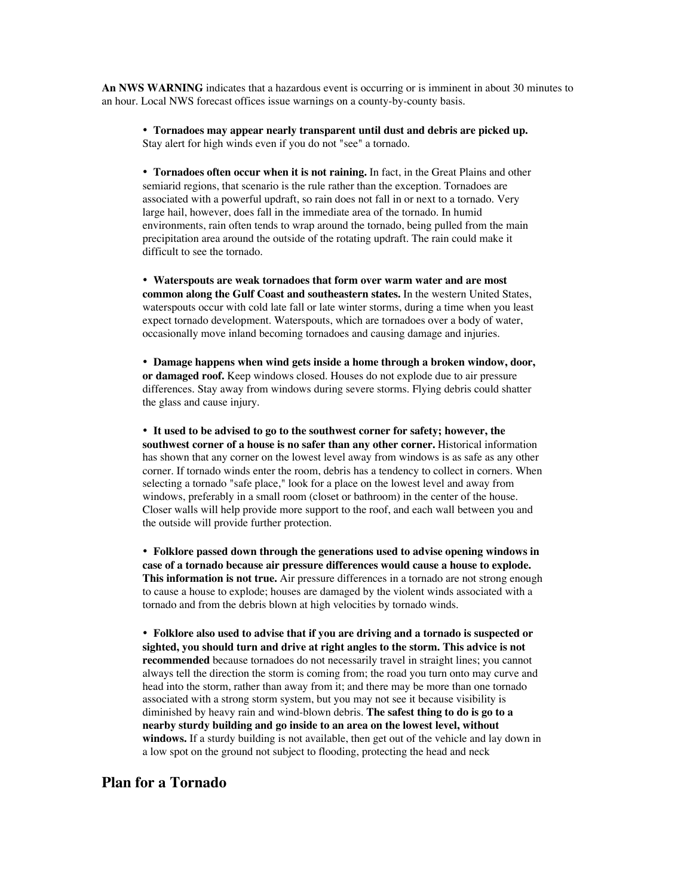**An NWS WARNING** indicates that a hazardous event is occurring or is imminent in about 30 minutes to an hour. Local NWS forecast offices issue warnings on a county-by-county basis.

 **Tornadoes may appear nearly transparent until dust and debris are picked up.** Stay alert for high winds even if you do not "see" a tornado.

 **Tornadoes often occur when it is not raining.** In fact, in the Great Plains and other semiarid regions, that scenario is the rule rather than the exception. Tornadoes are associated with a powerful updraft, so rain does not fall in or next to a tornado. Very large hail, however, does fall in the immediate area of the tornado. In humid environments, rain often tends to wrap around the tornado, being pulled from the main precipitation area around the outside of the rotating updraft. The rain could make it difficult to see the tornado.

 **Waterspouts are weak tornadoes that form over warm water and are most common along the Gulf Coast and southeastern states.** In the western United States, waterspouts occur with cold late fall or late winter storms, during a time when you least expect tornado development. Waterspouts, which are tornadoes over a body of water, occasionally move inland becoming tornadoes and causing damage and injuries.

 **Damage happens when wind gets inside a home through a broken window, door, or damaged roof.** Keep windows closed. Houses do not explode due to air pressure differences. Stay away from windows during severe storms. Flying debris could shatter the glass and cause injury.

 **It used to be advised to go to the southwest corner for safety; however, the southwest corner of a house is no safer than any other corner.** Historical information has shown that any corner on the lowest level away from windows is as safe as any other corner. If tornado winds enter the room, debris has a tendency to collect in corners. When selecting a tornado "safe place," look for a place on the lowest level and away from windows, preferably in a small room (closet or bathroom) in the center of the house. Closer walls will help provide more support to the roof, and each wall between you and the outside will provide further protection.

 **Folklore passed down through the generations used to advise opening windows in case of a tornado because air pressure differences would cause a house to explode. This information is not true.** Air pressure differences in a tornado are not strong enough to cause a house to explode; houses are damaged by the violent winds associated with a tornado and from the debris blown at high velocities by tornado winds.

 **Folklore also used to advise that if you are driving and a tornado is suspected or sighted, you should turn and drive at right angles to the storm. This advice is not recommended** because tornadoes do not necessarily travel in straight lines; you cannot always tell the direction the storm is coming from; the road you turn onto may curve and head into the storm, rather than away from it; and there may be more than one tornado associated with a strong storm system, but you may not see it because visibility is diminished by heavy rain and wind-blown debris. **The safest thing to do is go to a nearby sturdy building and go inside to an area on the lowest level, without windows.** If a sturdy building is not available, then get out of the vehicle and lay down in a low spot on the ground not subject to flooding, protecting the head and neck

## **Plan for a Tornado**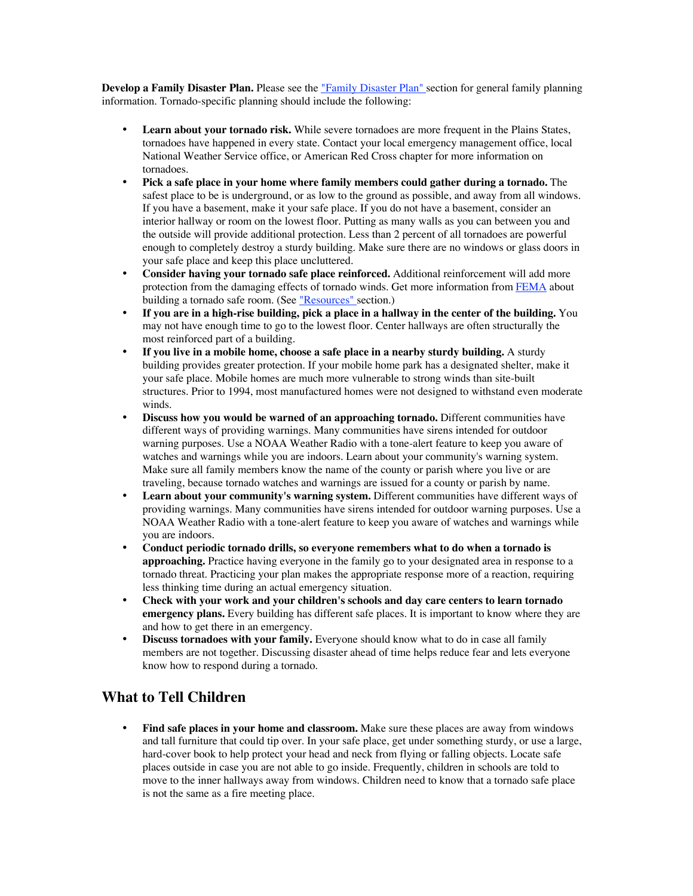**Develop a Family Disaster Plan.** Please see the "Family Disaster Plan" section for general family planning information. Tornado-specific planning should include the following:

Learn about your tornado risk. While severe tornadoes are more frequent in the Plains States, tornadoes have happened in every state. Contact your local emergency management office, local National Weather Service office, or American Red Cross chapter for more information on tornadoes.

**Pick a safe place in your home where family members could gather during a tornado.** The safest place to be is underground, or as low to the ground as possible, and away from all windows. If you have a basement, make it your safe place. If you do not have a basement, consider an interior hallway or room on the lowest floor. Putting as many walls as you can between you and the outside will provide additional protection. Less than 2 percent of all tornadoes are powerful enough to completely destroy a sturdy building. Make sure there are no windows or glass doors in your safe place and keep this place uncluttered.

**Consider having your tornado safe place reinforced.** Additional reinforcement will add more protection from the damaging effects of tornado winds. Get more information from FEMA about building a tornado safe room. (See <u>"Resources"</u> section.)

**If you are in a high-rise building, pick a place in a hallway in the center of the building.** You may not have enough time to go to the lowest floor. Center hallways are often structurally the most reinforced part of a building.

**If you live in a mobile home, choose a safe place in a nearby sturdy building.** A sturdy building provides greater protection. If your mobile home park has a designated shelter, make it your safe place. Mobile homes are much more vulnerable to strong winds than site-built structures. Prior to 1994, most manufactured homes were not designed to withstand even moderate winds.

**Discuss how you would be warned of an approaching tornado.** Different communities have different ways of providing warnings. Many communities have sirens intended for outdoor warning purposes. Use a NOAA Weather Radio with a tone-alert feature to keep you aware of watches and warnings while you are indoors. Learn about your community's warning system. Make sure all family members know the name of the county or parish where you live or are traveling, because tornado watches and warnings are issued for a county or parish by name.

**Learn about your community's warning system.** Different communities have different ways of providing warnings. Many communities have sirens intended for outdoor warning purposes. Use a NOAA Weather Radio with a tone-alert feature to keep you aware of watches and warnings while you are indoors.

**Conduct periodic tornado drills, so everyone remembers what to do when a tornado is approaching.** Practice having everyone in the family go to your designated area in response to a tornado threat. Practicing your plan makes the appropriate response more of a reaction, requiring less thinking time during an actual emergency situation.

**Check with your work and your children's schools and day care centers to learn tornado emergency plans.** Every building has different safe places. It is important to know where they are and how to get there in an emergency.

**Discuss tornadoes with your family.** Everyone should know what to do in case all family members are not together. Discussing disaster ahead of time helps reduce fear and lets everyone know how to respond during a tornado.

## **What to Tell Children**

**Find safe places in your home and classroom.** Make sure these places are away from windows and tall furniture that could tip over. In your safe place, get under something sturdy, or use a large, hard-cover book to help protect your head and neck from flying or falling objects. Locate safe places outside in case you are not able to go inside. Frequently, children in schools are told to move to the inner hallways away from windows. Children need to know that a tornado safe place is not the same as a fire meeting place.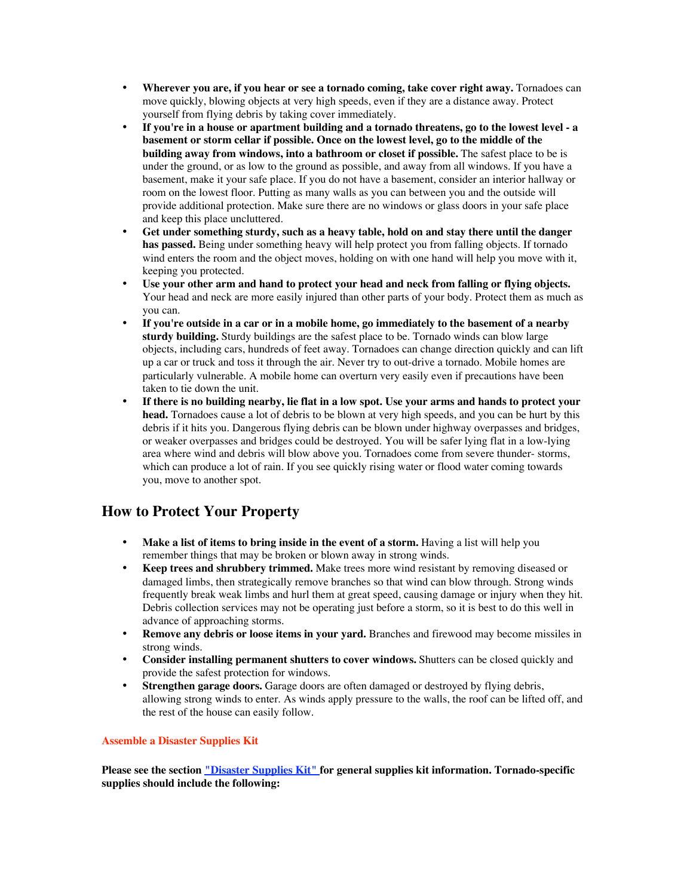**Wherever you are, if you hear or see a tornado coming, take cover right away.** Tornadoes can move quickly, blowing objects at very high speeds, even if they are a distance away. Protect yourself from flying debris by taking cover immediately.

**If you're in a house or apartment building and a tornado threatens, go to the lowest level - a basement or storm cellar if possible. Once on the lowest level, go to the middle of the building away from windows, into a bathroom or closet if possible.** The safest place to be is under the ground, or as low to the ground as possible, and away from all windows. If you have a basement, make it your safe place. If you do not have a basement, consider an interior hallway or room on the lowest floor. Putting as many walls as you can between you and the outside will provide additional protection. Make sure there are no windows or glass doors in your safe place and keep this place uncluttered.

**Get under something sturdy, such as a heavy table, hold on and stay there until the danger has passed.** Being under something heavy will help protect you from falling objects. If tornado wind enters the room and the object moves, holding on with one hand will help you move with it, keeping you protected.

**Use your other arm and hand to protect your head and neck from falling or flying objects.** Your head and neck are more easily injured than other parts of your body. Protect them as much as you can.

**If you're outside in a car or in a mobile home, go immediately to the basement of a nearby sturdy building.** Sturdy buildings are the safest place to be. Tornado winds can blow large objects, including cars, hundreds of feet away. Tornadoes can change direction quickly and can lift up a car or truck and toss it through the air. Never try to out-drive a tornado. Mobile homes are particularly vulnerable. A mobile home can overturn very easily even if precautions have been taken to tie down the unit.

**If there is no building nearby, lie flat in a low spot. Use your arms and hands to protect your head.** Tornadoes cause a lot of debris to be blown at very high speeds, and you can be hurt by this debris if it hits you. Dangerous flying debris can be blown under highway overpasses and bridges, or weaker overpasses and bridges could be destroyed. You will be safer lying flat in a low-lying area where wind and debris will blow above you. Tornadoes come from severe thunder- storms, which can produce a lot of rain. If you see quickly rising water or flood water coming towards you, move to another spot.

#### **How to Protect Your Property**

**Make a list of items to bring inside in the event of a storm.** Having a list will help you remember things that may be broken or blown away in strong winds.

**Keep trees and shrubbery trimmed.** Make trees more wind resistant by removing diseased or damaged limbs, then strategically remove branches so that wind can blow through. Strong winds frequently break weak limbs and hurl them at great speed, causing damage or injury when they hit. Debris collection services may not be operating just before a storm, so it is best to do this well in advance of approaching storms.

**Remove any debris or loose items in your yard.** Branches and firewood may become missiles in strong winds.

**Consider installing permanent shutters to cover windows.** Shutters can be closed quickly and provide the safest protection for windows.

**Strengthen garage doors.** Garage doors are often damaged or destroyed by flying debris, allowing strong winds to enter. As winds apply pressure to the walls, the roof can be lifted off, and the rest of the house can easily follow.

#### **Assemble a Disaster Supplies Kit**

**Please see the section "Disaster Supplies Kit" for general supplies kit information. Tornado-specific supplies should include the following:**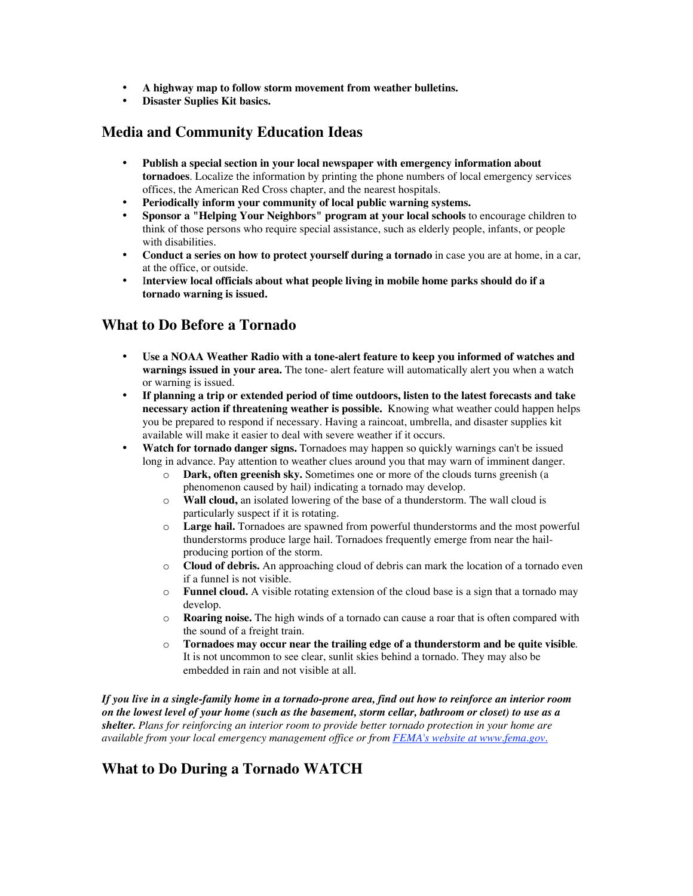**A highway map to follow storm movement from weather bulletins. Disaster Suplies Kit basics.**

## **Media and Community Education Ideas**

**Publish a special section in your local newspaper with emergency information about tornadoes**. Localize the information by printing the phone numbers of local emergency services offices, the American Red Cross chapter, and the nearest hospitals.

**Periodically inform your community of local public warning systems.**

**Sponsor a "Helping Your Neighbors" program at your local schools** to encourage children to think of those persons who require special assistance, such as elderly people, infants, or people with disabilities.

**Conduct a series on how to protect yourself during a tornado** in case you are at home, in a car, at the office, or outside.

I**nterview local officials about what people living in mobile home parks should do if a tornado warning is issued.**

## **What to Do Before a Tornado**

**Use a NOAA Weather Radio with a tone-alert feature to keep you informed of watches and warnings issued in your area.** The tone- alert feature will automatically alert you when a watch or warning is issued.

**If planning a trip or extended period of time outdoors, listen to the latest forecasts and take necessary action if threatening weather is possible.**! Knowing what weather could happen helps you be prepared to respond if necessary. Having a raincoat, umbrella, and disaster supplies kit available will make it easier to deal with severe weather if it occurs.

**Watch for tornado danger signs.** Tornadoes may happen so quickly warnings can't be issued long in advance. Pay attention to weather clues around you that may warn of imminent danger.

- o **Dark, often greenish sky.** Sometimes one or more of the clouds turns greenish (a phenomenon caused by hail) indicating a tornado may develop.
- o **Wall cloud,** an isolated lowering of the base of a thunderstorm. The wall cloud is particularly suspect if it is rotating.
- o **Large hail.** Tornadoes are spawned from powerful thunderstorms and the most powerful thunderstorms produce large hail. Tornadoes frequently emerge from near the hailproducing portion of the storm.
- o **Cloud of debris.** An approaching cloud of debris can mark the location of a tornado even if a funnel is not visible.
- o **Funnel cloud.** A visible rotating extension of the cloud base is a sign that a tornado may develop.
- o **Roaring noise.** The high winds of a tornado can cause a roar that is often compared with the sound of a freight train.
- o **Tornadoes may occur near the trailing edge of a thunderstorm and be quite visible**. It is not uncommon to see clear, sunlit skies behind a tornado. They may also be embedded in rain and not visible at all.

*If you live in a single-family home in a tornado-prone area, find out how to reinforce an interior room on the lowest level of your home (such as the basement, storm cellar, bathroom or closet) to use as a shelter. Plans for reinforcing an interior room to provide better tornado protection in your home are available from your local emergency management office or from FEMA's website at www.fema.gov.*

## **What to Do During a Tornado WATCH**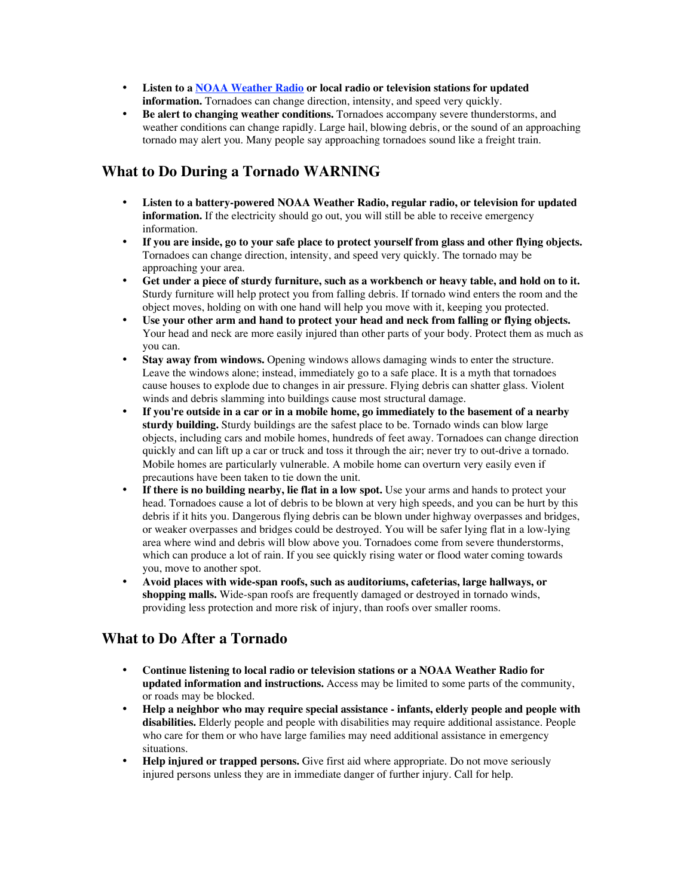**Listen to a NOAA Weather Radio or local radio or television stations for updated information.** Tornadoes can change direction, intensity, and speed very quickly. **Be alert to changing weather conditions.** Tornadoes accompany severe thunderstorms, and weather conditions can change rapidly. Large hail, blowing debris, or the sound of an approaching tornado may alert you. Many people say approaching tornadoes sound like a freight train.

### **What to Do During a Tornado WARNING**

**Listen to a battery-powered NOAA Weather Radio, regular radio, or television for updated information.** If the electricity should go out, you will still be able to receive emergency information.

**If you are inside, go to your safe place to protect yourself from glass and other flying objects.** Tornadoes can change direction, intensity, and speed very quickly. The tornado may be approaching your area.

**Get under a piece of sturdy furniture, such as a workbench or heavy table, and hold on to it.** Sturdy furniture will help protect you from falling debris. If tornado wind enters the room and the object moves, holding on with one hand will help you move with it, keeping you protected.

**Use your other arm and hand to protect your head and neck from falling or flying objects.** Your head and neck are more easily injured than other parts of your body. Protect them as much as you can.

**Stay away from windows.** Opening windows allows damaging winds to enter the structure. Leave the windows alone; instead, immediately go to a safe place. It is a myth that tornadoes cause houses to explode due to changes in air pressure. Flying debris can shatter glass. Violent winds and debris slamming into buildings cause most structural damage.

**If you're outside in a car or in a mobile home, go immediately to the basement of a nearby sturdy building.** Sturdy buildings are the safest place to be. Tornado winds can blow large objects, including cars and mobile homes, hundreds of feet away. Tornadoes can change direction quickly and can lift up a car or truck and toss it through the air; never try to out-drive a tornado. Mobile homes are particularly vulnerable. A mobile home can overturn very easily even if precautions have been taken to tie down the unit.

**If there is no building nearby, lie flat in a low spot.** Use your arms and hands to protect your head. Tornadoes cause a lot of debris to be blown at very high speeds, and you can be hurt by this debris if it hits you. Dangerous flying debris can be blown under highway overpasses and bridges, or weaker overpasses and bridges could be destroyed. You will be safer lying flat in a low-lying area where wind and debris will blow above you. Tornadoes come from severe thunderstorms, which can produce a lot of rain. If you see quickly rising water or flood water coming towards you, move to another spot.

**Avoid places with wide-span roofs, such as auditoriums, cafeterias, large hallways, or shopping malls.** Wide-span roofs are frequently damaged or destroyed in tornado winds, providing less protection and more risk of injury, than roofs over smaller rooms.

## **What to Do After a Tornado**

**Continue listening to local radio or television stations or a NOAA Weather Radio for updated information and instructions.** Access may be limited to some parts of the community, or roads may be blocked.

**Help a neighbor who may require special assistance - infants, elderly people and people with disabilities.** Elderly people and people with disabilities may require additional assistance. People who care for them or who have large families may need additional assistance in emergency situations.

**Help injured or trapped persons.** Give first aid where appropriate. Do not move seriously injured persons unless they are in immediate danger of further injury. Call for help.